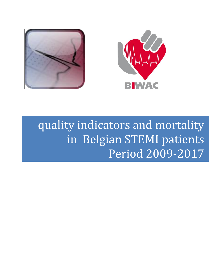



# quality indicators and mortality in Belgian STEMI patients Period 2009-2017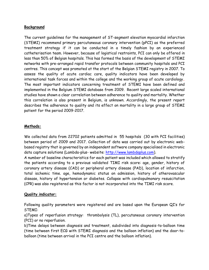# **Background**

The current guidelines for the management of ST-segment elevation myocardial infarction (STEMI) recommend primary percutaneous coronary intervention (pPCI) as the preferred treatment strategy if it can be conducted in a timely fashion by an experienced catheterisation team. However, because of logistical restraints, PCI can only be offered in less than 50% of Belgian hospitals. This has formed the basis of the development of STEMI networks with pre-arranged rapid transfer protocols between community hospitals and PCI centres. This concept was promoted at the start of the Belgian STEMI registry in 2007. To assess the quality of acute cardiac care, quality indicators have been developed by international task forces and within the college and the working group of acute cardiology**.** The most important indicators concerning treatment of STEMI have been defined and implemented in the Belgium STEMI database from 2009. Recent large scaled international studies have shown a clear correlation between adherence to quality and mortality. Whether this correlation is also present in Belgium, is unknown. Accordingly, the present report describes the adherence to quality and its effect on mortality in a large group of STEMI patient for the period 2009-2017.

# **Methods:**

We collected data from 22702 patients admitted in 55 hospitals (30 with PCI facilities) between period of 2009 and 2017. Collection of data was carried out by electronic webbased registry that is governed by an independent software company specialised in electronic data capture solutions (Lambda-plus- website: [http://www.lambdaplus.com\)](http://www.lambdaplus.com/).

A number of baseline characteristics for each patient was included which allowed to stratify the patients according to a previous validated TIMI risk score: age, gender, history of coronary artery disease (CAD) or peripheral artery disease (PAD), location of infarction, total ischemic time. age, hemodynamic status on admission, history of atherovascular disease, history of hypertension or diabetes. Collapse with cardiopulmonary resuscitation (CPR) was also registered as this factor is not incorporated into the TIMI risk score.

# **Quality indicator:**

Following quality parameters were registered and are based upon the European QI's for STEMI:

a)Types of reperfusion strategy: thrombolysis (TL), percutaneous coronary intervention (PCI) or no reperfusion.

b)Time delays between diagnosis and treatment, subdivided into diagnosis-to-balloon time (time between first ECG with STEMI diagnosis and the balloon inflation) and the door-toballoon (time between arrival in the PCI centre and the balloon inflation).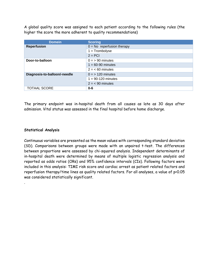A global quality score was assigned to each patient according to the following rules (the higher the score the more adherent to quality recommendations)

| <b>Domein</b>                | <b>Scoring</b>               |
|------------------------------|------------------------------|
| <b>Reperfusion</b>           | $0 = No$ reperfusion therapy |
|                              | $1 =$ Trombolyse             |
|                              | $2 = PCI$                    |
| Door-to-balloon              | $0 = 90$ minutes             |
|                              | $1 = 60-90$ minutes          |
|                              | $2 = 60$ minutes             |
| Diagnosis-to-balloon/-needle | $0 = 120$ minutes            |
|                              | $1 = 90-120$ minutes         |
|                              | $2 = 90$ minutes             |
| <b>TOTAAL SCORE</b>          | $0 - 6$                      |

The primary endpoint was in-hospital death from all causes as late as 30 days after admission. Vital status was assessed in the final hospital before home discharge.

# **Statistical Analysis**

.

Continuous variables are presented as the mean values with corresponding standard deviation (SD). Comparisons between groups were made with an unpaired t-test. The differences between proportions were assessed by chi-squared analysis. Independent determinants of in-hospital death were determined by means of multiple logistic regression analysis and reported as odds ratios (ORs) and 95% confidence intervals (CIs). Following factors were included in this analysis: TIMI risk score and cardiac arrest as patient related factors and reperfusion therapy/time lines as quality related factors. For all analyses, a value of p<0.05 was considered statistically significant.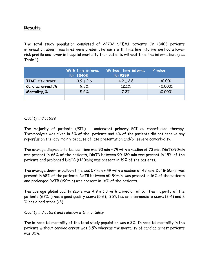# **Results**

The total study population consisted of 22702 STEMI patients. In 13403 patients information about time lines were present. Patients with time line information had a lower risk profile and lower in hospital mortality than patients without time line information. (see Table 1)

|                  | With time inform.<br>$N = 13403$ | Without time inform.<br>N=9299 | P value                 |
|------------------|----------------------------------|--------------------------------|-------------------------|
| TIMI risk score  | $3.9 \pm 2.6$                    | $4.2 \pm 2.6$                  | $\langle 0.001 \rangle$ |
| Cardiac arrest,% | 9.8%                             | 12.1%                          | 0.0001                  |
| Mortality,%      | 5.5%                             | 7.2%                           | $\langle 0.0001$        |
|                  |                                  |                                |                         |

# *Quality indicators*

The majority of patients (93%) underwent primary PCI as reperfusion therapy. Thrombolysis was given in 3% of the patients and 4% of the patients did not receive any reperfusion therapy mainly because of late presentation and/or severe comorbidity.

The average diagnosis-to-balloon time was 90 min  $\pm$  79 with a median of 73 min. DiaTB<90min was present in 66% of the patients, DiaTB between 90-120 min was present in 15% of the patients and prolonged DiaTB (>120min) was present in 19% of the patients.

The average door-to-balloon time was 57 min  $\pm$  49 with a median of 43 min. DoTB<60min was present in 68% of the patients, DoTB between 60-90min was present in 16% of the patients and prolonged DoTB (>90min) was present in 16% of the patients.

The average global quality score was  $4.9 \pm 1.3$  with a median of 5. The majority of the patients (67% ) has a good quality score (5-6), 25% has an intermediate score (3-4) and 8 % has a bad score (<3)

# *Quality indicators and relation with mortality*

The in-hospital mortality of the total study population was 6.2%. In hospital mortality in the patients without cardiac arrest was 3.5% whereas the mortality of cardiac arrest patients was 30%.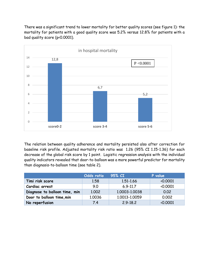There was a significant trend to lower mortality for better quality scores (see figure 1): the mortality for patients with a good quality score was 5.2% versus 12.8% for patients with a bad quality score (p<0.0001).



The relation between quality adherence and mortality persisted also after correction for baseline risk profile. Adjusted mortality risk ratio was 1.26 (95% CI 1.15-1.36) for each decrease of the global risk score by 1 point. Logistic regression analysis with the individual quality indicators revealed that door-to-balloon was a more powerful predictor for mortality than diagnosis-to-balloon time (see table 2).

|                               | Odds ratio | 95% CI        | P value |
|-------------------------------|------------|---------------|---------|
| Timi risk score               | 1.58       | 1,51-1,66     | 0.0001  |
| Cardiac arrest                | 9.0        | $6.9 - 11.7$  | 0.0001  |
| Diagnose to balloon time, min | 1.002      | 1.0003-1.0038 | 0.02    |
| Door to balloon time, min     | 1.0036     | 1.0013-1.0059 | 0.002   |
| No reperfusion                | 7.4        | $2.9 - 18.2$  | 0.0001  |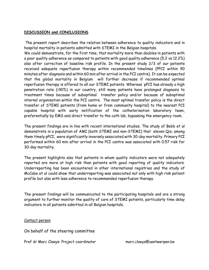# **DISCUSSION and CONCLUSIONS**

The present report describes the relation between adherence to quality indicators and in hospital mortality in patients admitted with STEMI in the Belgian hospitals.

We could demonstrate, for the first time, that mortality more than doubles in patients with a poor quality adherence as compared to patients with good quality adherence (5.2 vs 12.2%) also after correction of baseline risk profile. In the present study 2/3 of our patients received adequate reperfusion therapy within recommended timelines (PPCI within 90 minutes after diagnosis and within 60 min after arrival in the PCI centre). It can be expected that the global mortality in Belgium will further decrease if recommended optimal reperfusion therapy is offered to all our STEMI patients. Whereas pPCI has already a high penetration rate (>90%) in our country, still many patients have prolonged diagnosis to treatment times because of suboptimal transfer policy and/or because of suboptimal internal organisation within the PCI centre. The most optimal transfer policy is the direct transfer of STEMI patients (from home or from community hospital) to the nearest PCI capable hospital with early notification of the catheterisation laboratory team, preferentially by EMS and direct transfer to the cath lab, bypassing the emergency room.

The present findings are in line with recent international studies. The study of Bebb et al demonstrate in a population of AMI (both STEMI and non-STEMI) that eleven Qis, among them timely pPCI, were significantly inversely associated with 30-day mortality. Primary PCI performed within 60 min after arrival in the PCI centre was associated with 0.57 risk for 30-day mortality.

The present highlights also that patients in whom quality indicators were not adequately reported are more at high risk than patients with good reporting of quality indicators. Underreporting has been encountered in other international registries and the study of McCabe et al could show that underreporting was associated not only with high risk patient profile but also with less adherence to recommended reperfusion therapy.

The present findings will be communicated to the participating hospitals and are a strong argument to further monitor the quality of care of STEMI patients, particularly time delay indicators in all patients admitted in all Belgian hospitals.

# Contact person

On behalf of the steering committee

Prof dr Marc Claeys: Project coordinator marc.claeys@uantwerpen.be